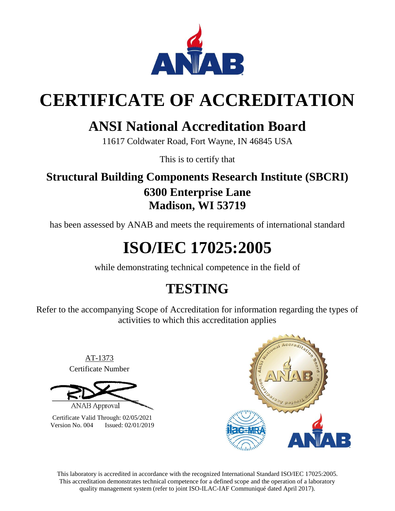

# **CERTIFICATE OF ACCREDITATION**

### **ANSI National Accreditation Board**

11617 Coldwater Road, Fort Wayne, IN 46845 USA

This is to certify that

### **Structural Building Components Research Institute (SBCRI) 6300 Enterprise Lane Madison, WI 53719**

has been assessed by ANAB and meets the requirements of international standard

# **ISO/IEC 17025:2005**

while demonstrating technical competence in the field of

## **TESTING**

Refer to the accompanying Scope of Accreditation for information regarding the types of activities to which this accreditation applies

AT-1373 Certificate Number

**ANAB** Approval

Certificate Valid Through: 02/05/2021 Version No. 004 Issued: 02/01/2019



This laboratory is accredited in accordance with the recognized International Standard ISO/IEC 17025:2005. This accreditation demonstrates technical competence for a defined scope and the operation of a laboratory quality management system (refer to joint ISO-ILAC-IAF Communiqué dated April 2017).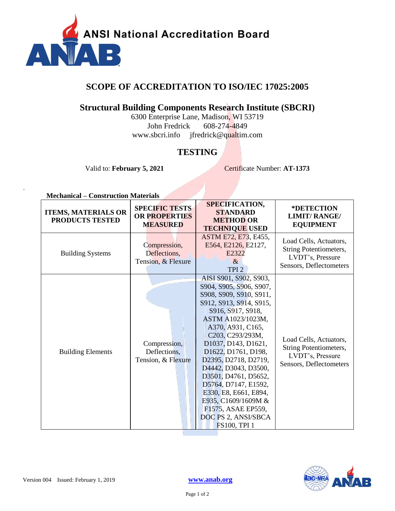

#### **SCOPE OF ACCREDITATION TO ISO/IEC 17025:2005**

### **Structural Building Components Research Institute (SBCRI)**

6300 Enterprise Lane, Madison, WI 53719 John Fredrick 608-274-4849 [www.sbcri.info](http://www.sbcri.info/) jfredrick@qualtim.com

#### **TESTING**

Valid to: **February 5, 2021** Certificate Number: **AT-1373** 

**Mechanical – Construction Materials**

.

| <b>ITEMS, MATERIALS OR</b><br>PRODUCTS TESTED | <b>SPECIFIC TESTS</b><br><b>OR PROPERTIES</b><br><b>MEASURED</b> | SPECIFICATION,<br><b>STANDARD</b><br><b>METHOD OR</b><br><b>TECHNIQUE USED</b>                                                                                                                                                                                                                                                                                                                                                                               | *DETECTION<br><b>LIMIT/RANGE/</b><br><b>EQUIPMENT</b>                                           |
|-----------------------------------------------|------------------------------------------------------------------|--------------------------------------------------------------------------------------------------------------------------------------------------------------------------------------------------------------------------------------------------------------------------------------------------------------------------------------------------------------------------------------------------------------------------------------------------------------|-------------------------------------------------------------------------------------------------|
| <b>Building Systems</b>                       | Compression,<br>Deflections,<br>Tension, & Flexure               | ASTM E72, E73, E455,<br>E564, E2126, E2127,<br>E2322<br>$\&$<br>TPI <sub>2</sub>                                                                                                                                                                                                                                                                                                                                                                             | Load Cells, Actuators,<br>String Potentiometers,<br>LVDT's, Pressure<br>Sensors, Deflectometers |
| <b>Building Elements</b>                      | Compression,<br>Deflections,<br>Tension, & Flexure               | AISI S901, S902, S903,<br>S904, S905, S906, S907,<br>S908, S909, S910, S911,<br>S912, S913, S914, S915,<br>S916, S917, S918,<br>ASTM A1023/1023M,<br>A370, A931, C165,<br>C203, C293/293M,<br>D1037, D143, D1621,<br>D1622, D1761, D198,<br>D2395, D2718, D2719,<br>D4442, D3043, D3500,<br>D3501, D4761, D5652,<br>D5764, D7147, E1592,<br>E330, E8, E661, E894,<br>E935, C1609/1609M &<br>F1575, ASAE EP559,<br>DOC PS 2, ANSI/SBCA<br><b>FS100, TPI 1</b> | Load Cells, Actuators,<br>String Potentiometers,<br>LVDT's, Pressure<br>Sensors, Deflectometers |